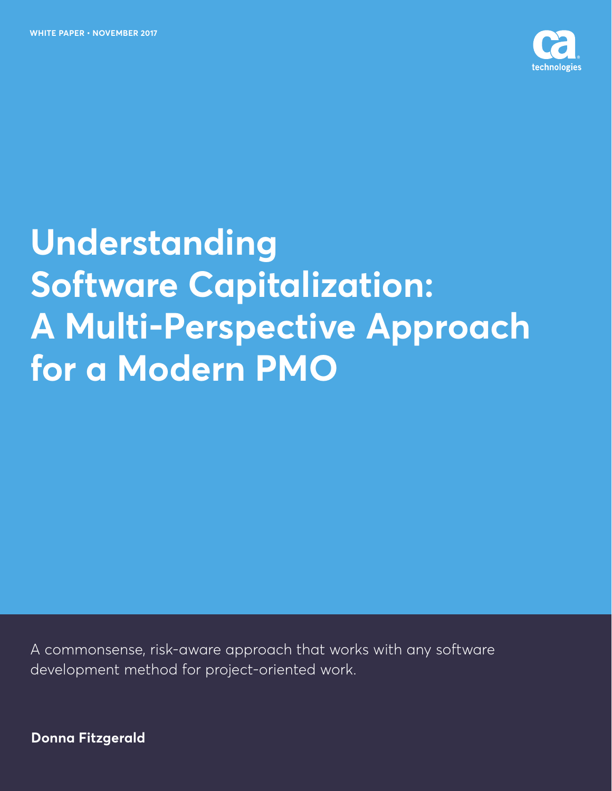

# **Understanding Software Capitalization: A Multi-Perspective Approach for a Modern PMO**

A commonsense, risk-aware approach that works with any software development method for project-oriented work.

**Donna Fitzgerald**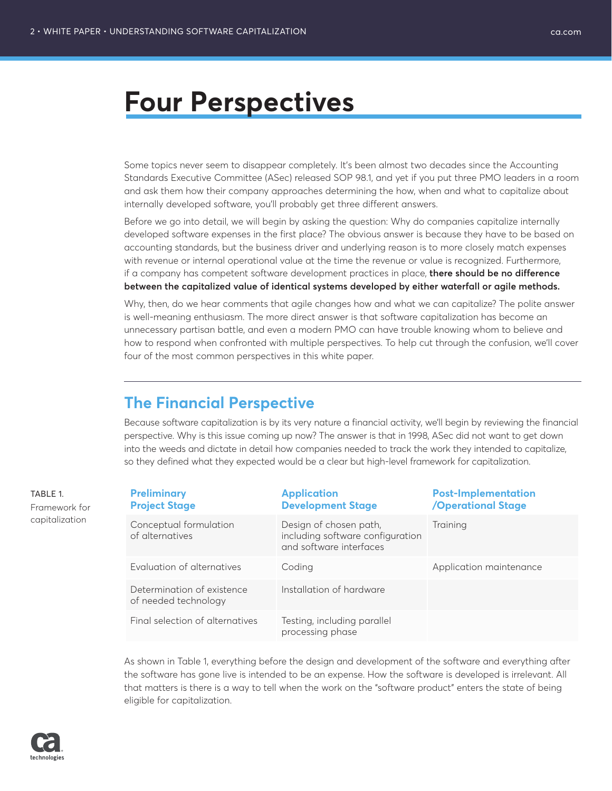# **Four Perspectives**

Some topics never seem to disappear completely. It's been almost two decades since the Accounting Standards Executive Committee (ASec) released SOP 98.1, and yet if you put three PMO leaders in a room and ask them how their company approaches determining the how, when and what to capitalize about internally developed software, you'll probably get three different answers.

Before we go into detail, we will begin by asking the question: Why do companies capitalize internally developed software expenses in the first place? The obvious answer is because they have to be based on accounting standards, but the business driver and underlying reason is to more closely match expenses with revenue or internal operational value at the time the revenue or value is recognized. Furthermore, if a company has competent software development practices in place, **there should be no difference between the capitalized value of identical systems developed by either waterfall or agile methods.** 

Why, then, do we hear comments that agile changes how and what we can capitalize? The polite answer is well-meaning enthusiasm. The more direct answer is that software capitalization has become an unnecessary partisan battle, and even a modern PMO can have trouble knowing whom to believe and how to respond when confronted with multiple perspectives. To help cut through the confusion, we'll cover four of the most common perspectives in this white paper.

# **The Financial Perspective**

Because software capitalization is by its very nature a financial activity, we'll begin by reviewing the financial perspective. Why is this issue coming up now? The answer is that in 1998, ASec did not want to get down into the weeds and dictate in detail how companies needed to track the work they intended to capitalize, so they defined what they expected would be a clear but high-level framework for capitalization.

| TABLE 1.<br>Framework for<br>capitalization | <b>Preliminary</b><br><b>Project Stage</b>         | <b>Application</b><br><b>Development Stage</b>                                        | <b>Post-Implementation</b><br><b>/Operational Stage</b> |
|---------------------------------------------|----------------------------------------------------|---------------------------------------------------------------------------------------|---------------------------------------------------------|
|                                             | Conceptual formulation<br>of alternatives          | Design of chosen path,<br>including software configuration<br>and software interfaces | <b>Training</b>                                         |
|                                             | Evaluation of alternatives                         | Coding                                                                                | Application maintenance                                 |
|                                             | Determination of existence<br>of needed technology | Installation of hardware                                                              |                                                         |
|                                             | Final selection of alternatives                    | Testing, including parallel<br>processing phase                                       |                                                         |

As shown in Table 1, everything before the design and development of the software and everything after the software has gone live is intended to be an expense. How the software is developed is irrelevant. All that matters is there is a way to tell when the work on the "software product" enters the state of being eligible for capitalization.

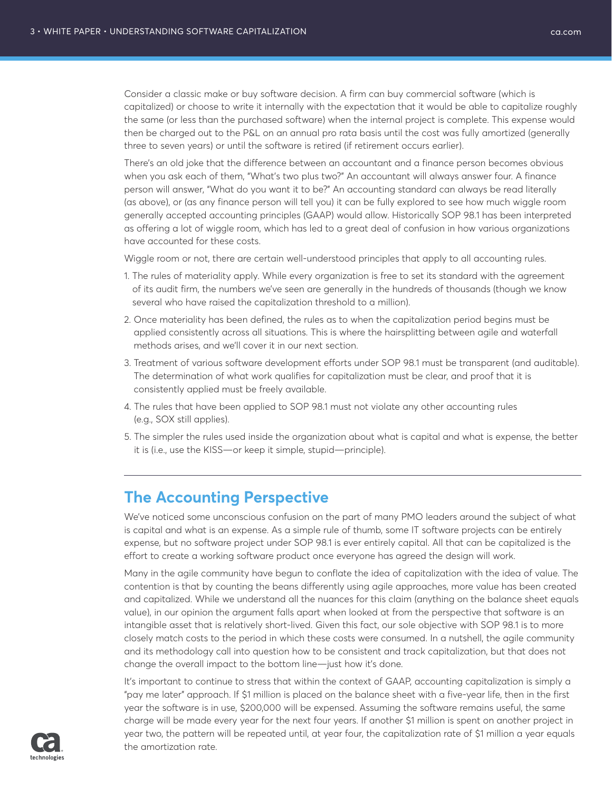Consider a classic make or buy software decision. A firm can buy commercial software (which is capitalized) or choose to write it internally with the expectation that it would be able to capitalize roughly the same (or less than the purchased software) when the internal project is complete. This expense would then be charged out to the P&L on an annual pro rata basis until the cost was fully amortized (generally three to seven years) or until the software is retired (if retirement occurs earlier).

There's an old joke that the difference between an accountant and a finance person becomes obvious when you ask each of them, "What's two plus two?" An accountant will always answer four. A finance person will answer, "What do you want it to be?" An accounting standard can always be read literally (as above), or (as any finance person will tell you) it can be fully explored to see how much wiggle room generally accepted accounting principles (GAAP) would allow. Historically SOP 98.1 has been interpreted as offering a lot of wiggle room, which has led to a great deal of confusion in how various organizations have accounted for these costs.

Wiggle room or not, there are certain well-understood principles that apply to all accounting rules.

- 1. The rules of materiality apply. While every organization is free to set its standard with the agreement of its audit firm, the numbers we've seen are generally in the hundreds of thousands (though we know several who have raised the capitalization threshold to a million).
- 2. Once materiality has been defined, the rules as to when the capitalization period begins must be applied consistently across all situations. This is where the hairsplitting between agile and waterfall methods arises, and we'll cover it in our next section.
- 3. Treatment of various software development efforts under SOP 98.1 must be transparent (and auditable). The determination of what work qualifies for capitalization must be clear, and proof that it is consistently applied must be freely available.
- 4. The rules that have been applied to SOP 98.1 must not violate any other accounting rules (e.g., SOX still applies).
- 5. The simpler the rules used inside the organization about what is capital and what is expense, the better it is (i.e., use the KISS—or keep it simple, stupid—principle).

# **The Accounting Perspective**

We've noticed some unconscious confusion on the part of many PMO leaders around the subject of what is capital and what is an expense. As a simple rule of thumb, some IT software projects can be entirely expense, but no software project under SOP 98.1 is ever entirely capital. All that can be capitalized is the effort to create a working software product once everyone has agreed the design will work.

Many in the agile community have begun to conflate the idea of capitalization with the idea of value. The contention is that by counting the beans differently using agile approaches, more value has been created and capitalized. While we understand all the nuances for this claim (anything on the balance sheet equals value), in our opinion the argument falls apart when looked at from the perspective that software is an intangible asset that is relatively short-lived. Given this fact, our sole objective with SOP 98.1 is to more closely match costs to the period in which these costs were consumed. In a nutshell, the agile community and its methodology call into question how to be consistent and track capitalization, but that does not change the overall impact to the bottom line—just how it's done.

It's important to continue to stress that within the context of GAAP, accounting capitalization is simply a "pay me later" approach. If \$1 million is placed on the balance sheet with a five-year life, then in the first year the software is in use, \$200,000 will be expensed. Assuming the software remains useful, the same charge will be made every year for the next four years. If another \$1 million is spent on another project in year two, the pattern will be repeated until, at year four, the capitalization rate of \$1 million a year equals the amortization rate.

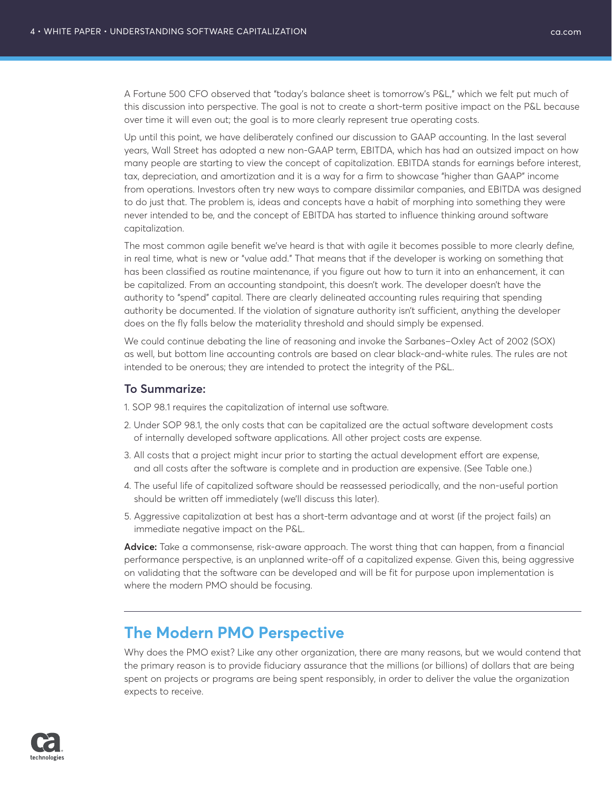A Fortune 500 CFO observed that "today's balance sheet is tomorrow's P&L," which we felt put much of this discussion into perspective. The goal is not to create a short-term positive impact on the P&L because over time it will even out; the goal is to more clearly represent true operating costs.

Up until this point, we have deliberately confined our discussion to GAAP accounting. In the last several years, Wall Street has adopted a new non-GAAP term, EBITDA, which has had an outsized impact on how many people are starting to view the concept of capitalization. EBITDA stands for earnings before interest, tax, depreciation, and amortization and it is a way for a firm to showcase "higher than GAAP" income from operations. Investors often try new ways to compare dissimilar companies, and EBITDA was designed to do just that. The problem is, ideas and concepts have a habit of morphing into something they were never intended to be, and the concept of EBITDA has started to influence thinking around software capitalization.

The most common agile benefit we've heard is that with agile it becomes possible to more clearly define, in real time, what is new or "value add." That means that if the developer is working on something that has been classified as routine maintenance, if you figure out how to turn it into an enhancement, it can be capitalized. From an accounting standpoint, this doesn't work. The developer doesn't have the authority to "spend" capital. There are clearly delineated accounting rules requiring that spending authority be documented. If the violation of signature authority isn't sufficient, anything the developer does on the fly falls below the materiality threshold and should simply be expensed.

We could continue debating the line of reasoning and invoke the Sarbanes–Oxley Act of 2002 (SOX) as well, but bottom line accounting controls are based on clear black-and-white rules. The rules are not intended to be onerous; they are intended to protect the integrity of the P&L.

### **To Summarize:**

- 1. SOP 98.1 requires the capitalization of internal use software.
- 2. Under SOP 98.1, the only costs that can be capitalized are the actual software development costs of internally developed software applications. All other project costs are expense.
- 3. All costs that a project might incur prior to starting the actual development effort are expense, and all costs after the software is complete and in production are expensive. (See Table one.)
- 4. The useful life of capitalized software should be reassessed periodically, and the non-useful portion should be written off immediately (we'll discuss this later).
- 5. Aggressive capitalization at best has a short-term advantage and at worst (if the project fails) an immediate negative impact on the P&L.

**Advice:** Take a commonsense, risk-aware approach. The worst thing that can happen, from a financial performance perspective, is an unplanned write-off of a capitalized expense. Given this, being aggressive on validating that the software can be developed and will be fit for purpose upon implementation is where the modern PMO should be focusing.

## **The Modern PMO Perspective**

Why does the PMO exist? Like any other organization, there are many reasons, but we would contend that the primary reason is to provide fiduciary assurance that the millions (or billions) of dollars that are being spent on projects or programs are being spent responsibly, in order to deliver the value the organization expects to receive.

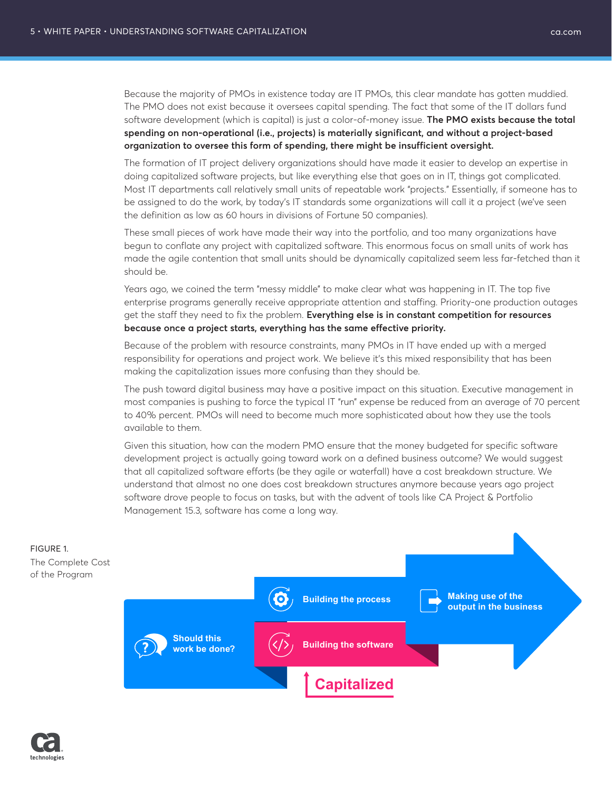Because the majority of PMOs in existence today are IT PMOs, this clear mandate has gotten muddied. The PMO does not exist because it oversees capital spending. The fact that some of the IT dollars fund

software development (which is capital) is just a color-of-money issue. **The PMO exists because the total spending on non-operational (i.e., projects) is materially significant, and without a project-based organization to oversee this form of spending, there might be insufficient oversight.** 

The formation of IT project delivery organizations should have made it easier to develop an expertise in doing capitalized software projects, but like everything else that goes on in IT, things got complicated. Most IT departments call relatively small units of repeatable work "projects." Essentially, if someone has to be assigned to do the work, by today's IT standards some organizations will call it a project (we've seen the definition as low as 60 hours in divisions of Fortune 50 companies).

These small pieces of work have made their way into the portfolio, and too many organizations have begun to conflate any project with capitalized software. This enormous focus on small units of work has made the agile contention that small units should be dynamically capitalized seem less far-fetched than it should be.

Years ago, we coined the term "messy middle" to make clear what was happening in IT. The top five enterprise programs generally receive appropriate attention and staffing. Priority-one production outages get the staff they need to fix the problem. **Everything else is in constant competition for resources because once a project starts, everything has the same effective priority.**

Because of the problem with resource constraints, many PMOs in IT have ended up with a merged responsibility for operations and project work. We believe it's this mixed responsibility that has been making the capitalization issues more confusing than they should be.

The push toward digital business may have a positive impact on this situation. Executive management in most companies is pushing to force the typical IT "run" expense be reduced from an average of 70 percent to 40% percent. PMOs will need to become much more sophisticated about how they use the tools available to them.

Given this situation, how can the modern PMO ensure that the money budgeted for specific software development project is actually going toward work on a defined business outcome? We would suggest that all capitalized software efforts (be they agile or waterfall) have a cost breakdown structure. We understand that almost no one does cost breakdown structures anymore because years ago project software drove people to focus on tasks, but with the advent of tools like CA Project & Portfolio Management 15.3, software has come a long way.



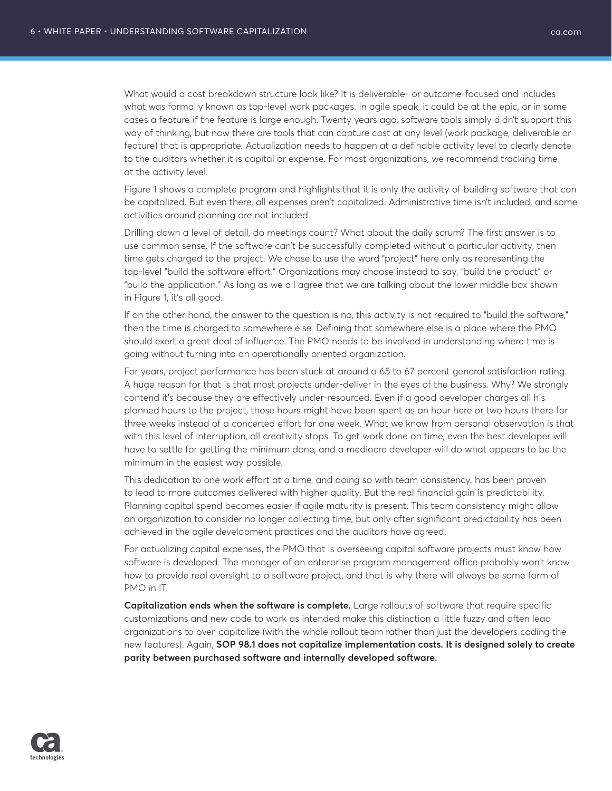What would a cost breakdown structure look like? It is deliverable- or outcome-focused and includes what was formally known as top-level work packages. In agile speak, it could be at the epic, or in some cases a feature if the feature is large enough. Twenty years ago, software tools simply didn't support this way of thinking, but now there are tools that can capture cost at any level (work package, deliverable or feature) that is appropriate. Actualization needs to happen at a definable activity level to clearly denote to the auditors whether it is capital or expense. For most organizations, we recommend tracking time at the activity level.

Figure 1 shows a complete program and highlights that it is only the activity of building software that can be capitalized. But even there, all expenses aren't capitalized. Administrative time isn't included, and some activities around planning are not included.

Drilling down a level of detail, do meetings count? What about the daily scrum? The first answer is to use common sense. If the software can't be successfully completed without a particular activity, then time gets charged to the project. We chose to use the word "project" here only as representing the top-level "build the software effort." Organizations may choose instead to say, "build the product" or "build the application." As long as we all agree that we are talking about the lower middle box shown in Figure 1, it's all good.

If on the other hand, the answer to the question is no, this activity is not required to "build the software," then the time is charged to somewhere else. Defining that somewhere else is a place where the PMO should exert a great deal of influence. The PMO needs to be involved in understanding where time is going without turning into an operationally oriented organization.

For years, project performance has been stuck at around a 65 to 67 percent general satisfaction rating. A huge reason for that is that most projects under-deliver in the eyes of the business. Why? We strongly contend it's because they are effectively under-resourced. Even if a good developer charges all his planned hours to the project, those hours might have been spent as an hour here or two hours there for three weeks instead of a concerted effort for one week. What we know from personal observation is that with this level of interruption, all creativity stops. To get work done on time, even the best developer will have to settle for getting the minimum done, and a mediocre developer will do what appears to be the minimum in the easiest way possible.

This dedication to one work effort at a time, and doing so with team consistency, has been proven to lead to more outcomes delivered with higher quality. But the real financial gain is predictability. Planning capital spend becomes easier if agile maturity is present. This team consistency might allow an organization to consider no longer collecting time, but only after significant predictability has been achieved in the agile development practices and the auditors have agreed.

For actualizing capital expenses, the PMO that is overseeing capital software projects must know how software is developed. The manager of an enterprise program management office probably won't know how to provide real oversight to a software project, and that is why there will always be some form of PMO in IT.

**Capitalization ends when the software is complete.** Large rollouts of software that require specific customizations and new code to work as intended make this distinction a little fuzzy and often lead organizations to over-capitalize (with the whole rollout team rather than just the developers coding the new features). Again, **SOP 98.1 does not capitalize implementation costs. It is designed solely to create parity between purchased software and internally developed software.**

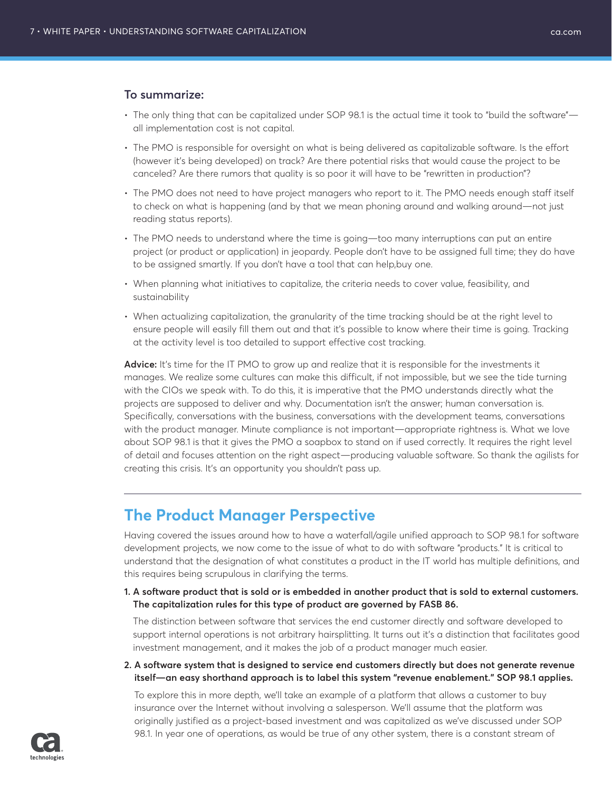### **To summarize:**

- The only thing that can be capitalized under SOP 98.1 is the actual time it took to "build the software" all implementation cost is not capital.
- The PMO is responsible for oversight on what is being delivered as capitalizable software. Is the effort (however it's being developed) on track? Are there potential risks that would cause the project to be canceled? Are there rumors that quality is so poor it will have to be "rewritten in production"?
- The PMO does not need to have project managers who report to it. The PMO needs enough staff itself to check on what is happening (and by that we mean phoning around and walking around—not just reading status reports).
- The PMO needs to understand where the time is going—too many interruptions can put an entire project (or product or application) in jeopardy. People don't have to be assigned full time; they do have to be assigned smartly. If you don't have a tool that can help,buy one.
- When planning what initiatives to capitalize, the criteria needs to cover value, feasibility, and sustainability
- When actualizing capitalization, the granularity of the time tracking should be at the right level to ensure people will easily fill them out and that it's possible to know where their time is going. Tracking at the activity level is too detailed to support effective cost tracking.

Advice: It's time for the IT PMO to grow up and realize that it is responsible for the investments it manages. We realize some cultures can make this difficult, if not impossible, but we see the tide turning with the CIOs we speak with. To do this, it is imperative that the PMO understands directly what the projects are supposed to deliver and why. Documentation isn't the answer; human conversation is. Specifically, conversations with the business, conversations with the development teams, conversations with the product manager. Minute compliance is not important—appropriate rightness is. What we love about SOP 98.1 is that it gives the PMO a soapbox to stand on if used correctly. It requires the right level of detail and focuses attention on the right aspect—producing valuable software. So thank the agilists for creating this crisis. It's an opportunity you shouldn't pass up.

## **The Product Manager Perspective**

Having covered the issues around how to have a waterfall/agile unified approach to SOP 98.1 for software development projects, we now come to the issue of what to do with software "products." It is critical to understand that the designation of what constitutes a product in the IT world has multiple definitions, and this requires being scrupulous in clarifying the terms.

**1. A software product that is sold or is embedded in another product that is sold to external customers. The capitalization rules for this type of product are governed by FASB 86.**

The distinction between software that services the end customer directly and software developed to support internal operations is not arbitrary hairsplitting. It turns out it's a distinction that facilitates good investment management, and it makes the job of a product manager much easier.

**2. A software system that is designed to service end customers directly but does not generate revenue itself—an easy shorthand approach is to label this system "revenue enablement." SOP 98.1 applies.**

To explore this in more depth, we'll take an example of a platform that allows a customer to buy insurance over the Internet without involving a salesperson. We'll assume that the platform was originally justified as a project-based investment and was capitalized as we've discussed under SOP 98.1. In year one of operations, as would be true of any other system, there is a constant stream of

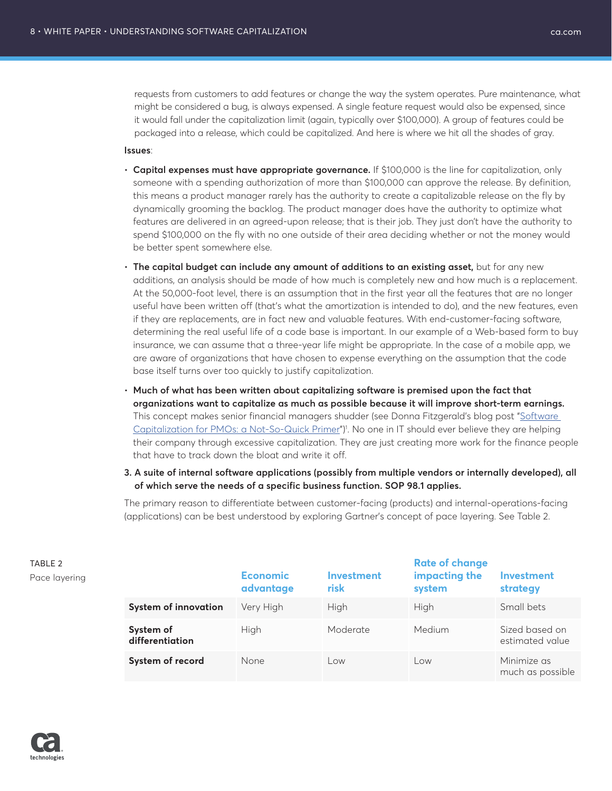requests from customers to add features or change the way the system operates. Pure maintenance, what might be considered a bug, is always expensed. A single feature request would also be expensed, since it would fall under the capitalization limit (again, typically over \$100,000). A group of features could be packaged into a release, which could be capitalized. And here is where we hit all the shades of gray.

### **Issues**:

- **Capital expenses must have appropriate governance.** If \$100,000 is the line for capitalization, only someone with a spending authorization of more than \$100,000 can approve the release. By definition, this means a product manager rarely has the authority to create a capitalizable release on the fly by dynamically grooming the backlog. The product manager does have the authority to optimize what features are delivered in an agreed-upon release; that is their job. They just don't have the authority to spend \$100,000 on the fly with no one outside of their area deciding whether or not the money would be better spent somewhere else.
- **The capital budget can include any amount of additions to an existing asset,** but for any new additions, an analysis should be made of how much is completely new and how much is a replacement. At the 50,000-foot level, there is an assumption that in the first year all the features that are no longer useful have been written off (that's what the amortization is intended to do), and the new features, even if they are replacements, are in fact new and valuable features. With end-customer-facing software, determining the real useful life of a code base is important. In our example of a Web-based form to buy insurance, we can assume that a three-year life might be appropriate. In the case of a mobile app, we are aware of organizations that have chosen to expense everything on the assumption that the code base itself turns over too quickly to justify capitalization.
- **Much of what has been written about capitalizing software is premised upon the fact that organizations want to capitalize as much as possible because it will improve short-term earnings.** This concept makes senior financial managers shudder (see Donna Fitzgerald's blog post ["Software](https://www.ca.com/en/blog-ppm/software-capitalization-pmos-not-quick-primer.html)  [Capitalization for PMOs: a Not-So-Quick Primer](https://www.ca.com/en/blog-ppm/software-capitalization-pmos-not-quick-primer.html)")<sup>1</sup>. No one in IT should ever believe they are helping their company through excessive capitalization. They are just creating more work for the finance people that have to track down the bloat and write it off.
- **3. A suite of internal software applications (possibly from multiple vendors or internally developed), all of which serve the needs of a specific business function. SOP 98.1 applies.**

The primary reason to differentiate between customer-facing (products) and internal-operations-facing (applications) can be best understood by exploring Gartner's concept of pace layering. See Table 2.

| TABLE 2<br>Pace layering |                              | <b>Economic</b><br>advantage | <b>Investment</b><br>risk | <b>Rate of change</b><br>impacting the<br>system | <b>Investment</b><br>strategy     |
|--------------------------|------------------------------|------------------------------|---------------------------|--------------------------------------------------|-----------------------------------|
|                          | <b>System of innovation</b>  | Very High                    | High                      | High                                             | Small bets                        |
|                          | System of<br>differentiation | High                         | Moderate                  | <b>Medium</b>                                    | Sized based on<br>estimated value |
|                          | System of record             | None                         | Low                       | Low                                              | Minimize as<br>much as possible   |

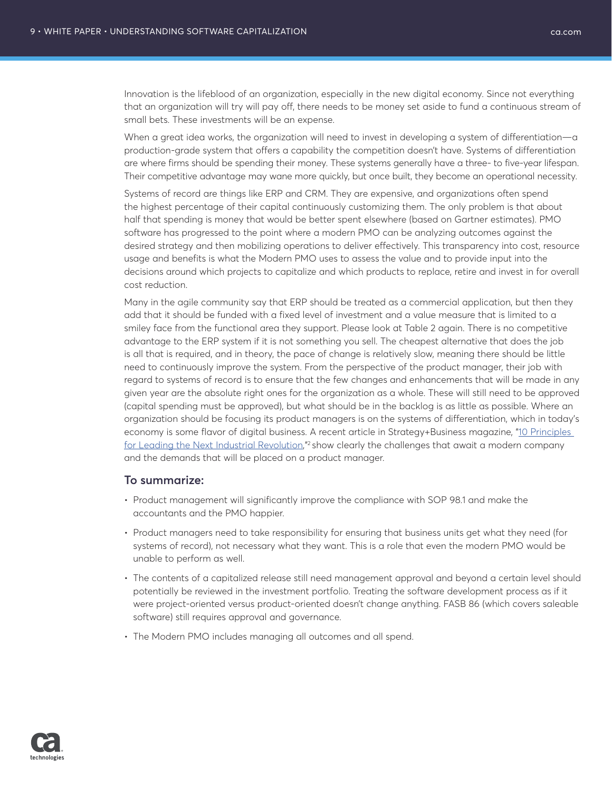Innovation is the lifeblood of an organization, especially in the new digital economy. Since not everything that an organization will try will pay off, there needs to be money set aside to fund a continuous stream of small bets. These investments will be an expense.

When a great idea works, the organization will need to invest in developing a system of differentiation—a production-grade system that offers a capability the competition doesn't have. Systems of differentiation are where firms should be spending their money. These systems generally have a three- to five-year lifespan. Their competitive advantage may wane more quickly, but once built, they become an operational necessity.

Systems of record are things like ERP and CRM. They are expensive, and organizations often spend the highest percentage of their capital continuously customizing them. The only problem is that about half that spending is money that would be better spent elsewhere (based on Gartner estimates). PMO software has progressed to the point where a modern PMO can be analyzing outcomes against the desired strategy and then mobilizing operations to deliver effectively. This transparency into cost, resource usage and benefits is what the Modern PMO uses to assess the value and to provide input into the decisions around which projects to capitalize and which products to replace, retire and invest in for overall cost reduction.

Many in the agile community say that ERP should be treated as a commercial application, but then they add that it should be funded with a fixed level of investment and a value measure that is limited to a smiley face from the functional area they support. Please look at Table 2 again. There is no competitive advantage to the ERP system if it is not something you sell. The cheapest alternative that does the job is all that is required, and in theory, the pace of change is relatively slow, meaning there should be little need to continuously improve the system. From the perspective of the product manager, their job with regard to systems of record is to ensure that the few changes and enhancements that will be made in any given year are the absolute right ones for the organization as a whole. These will still need to be approved (capital spending must be approved), but what should be in the backlog is as little as possible. Where an organization should be focusing its product managers is on the systems of differentiation, which in today's economy is some flavor of digital business. A recent article in Strategy+Business magazine, "10 Principles [for Leading the Next Industrial Revolution](https://www.strategy-business.com/article/10-Principles-for-Leading-the-Next-Industrial-Revolution?gko=f73d3&utm_source=itw&utm_medium=201710254&utm_campaign=resp),"<sup>2</sup> show clearly the challenges that await a modern company and the demands that will be placed on a product manager.

### **To summarize:**

- Product management will significantly improve the compliance with SOP 98.1 and make the accountants and the PMO happier.
- Product managers need to take responsibility for ensuring that business units get what they need (for systems of record), not necessary what they want. This is a role that even the modern PMO would be unable to perform as well.
- The contents of a capitalized release still need management approval and beyond a certain level should potentially be reviewed in the investment portfolio. Treating the software development process as if it were project-oriented versus product-oriented doesn't change anything. FASB 86 (which covers saleable software) still requires approval and governance.
- The Modern PMO includes managing all outcomes and all spend.